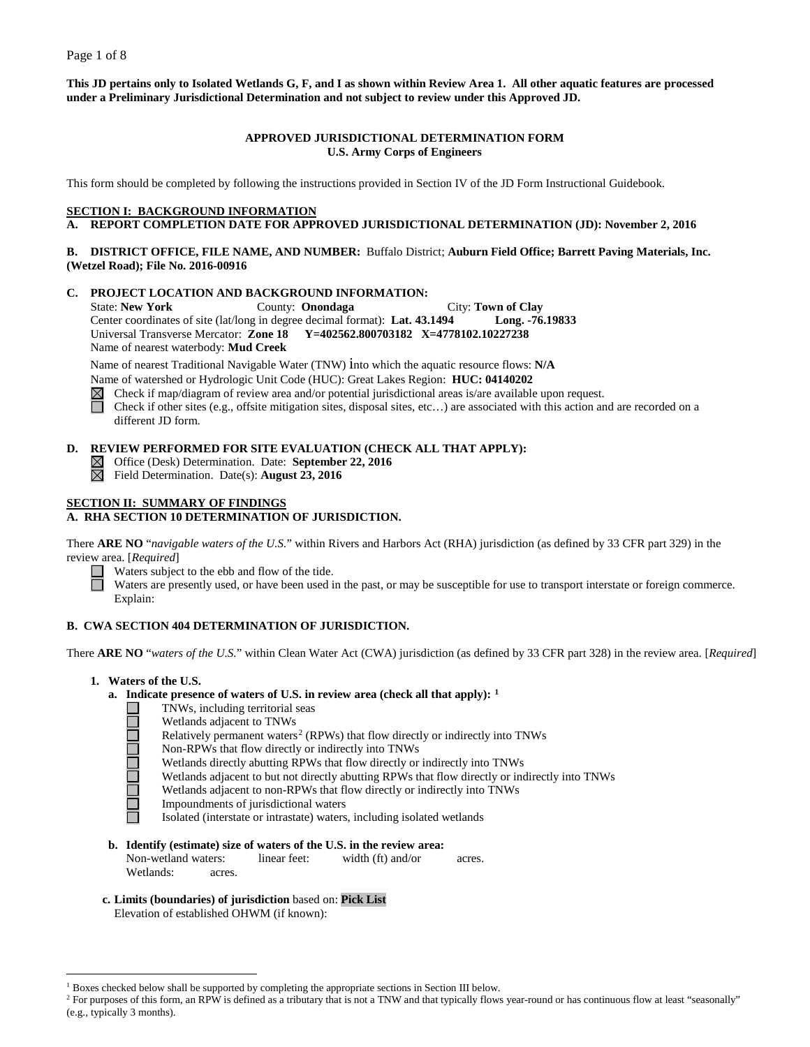**This JD pertains only to Isolated Wetlands G, F, and I as shown within Review Area 1. All other aquatic features are processed under a Preliminary Jurisdictional Determination and not subject to review under this Approved JD.**

### **APPROVED JURISDICTIONAL DETERMINATION FORM U.S. Army Corps of Engineers**

This form should be completed by following the instructions provided in Section IV of the JD Form Instructional Guidebook.

### **SECTION I: BACKGROUND INFORMATION**

**A. REPORT COMPLETION DATE FOR APPROVED JURISDICTIONAL DETERMINATION (JD): November 2, 2016**

### **B. DISTRICT OFFICE, FILE NAME, AND NUMBER:** Buffalo District; **Auburn Field Office; Barrett Paving Materials, Inc. (Wetzel Road); File No. 2016-00916**

#### **C. PROJECT LOCATION AND BACKGROUND INFORMATION:**

State: **New York** County: **Onondaga** City: **Town of Clay** Center coordinates of site (lat/long in degree decimal format): **Lat. 43.1494 Long. -76.19833** Universal Transverse Mercator: **Zone 18 Y=402562.800703182 X=4778102.10227238** Name of nearest waterbody: **Mud Creek**

Name of nearest Traditional Navigable Water (TNW) into which the aquatic resource flows: **N/A**

Name of watershed or Hydrologic Unit Code (HUC): Great Lakes Region: **HUC: 04140202**

 $\boxtimes$ Check if map/diagram of review area and/or potential jurisdictional areas is/are available upon request.

П Check if other sites (e.g., offsite mitigation sites, disposal sites, etc…) are associated with this action and are recorded on a different JD form.

# **D. REVIEW PERFORMED FOR SITE EVALUATION (CHECK ALL THAT APPLY):**

- Office (Desk) Determination. Date: **September 22, 2016**
- $\boxtimes$ Field Determination. Date(s): **August 23, 2016**

# **SECTION II: SUMMARY OF FINDINGS**

# **A. RHA SECTION 10 DETERMINATION OF JURISDICTION.**

There **ARE NO** "*navigable waters of the U.S.*" within Rivers and Harbors Act (RHA) jurisdiction (as defined by 33 CFR part 329) in the review area. [*Required*]

Waters subject to the ebb and flow of the tide.

Waters are presently used, or have been used in the past, or may be susceptible for use to transport interstate or foreign commerce. Explain:

# **B. CWA SECTION 404 DETERMINATION OF JURISDICTION.**

There **ARE NO** "*waters of the U.S.*" within Clean Water Act (CWA) jurisdiction (as defined by 33 CFR part 328) in the review area. [*Required*]

**1. Waters of the U.S.**

ala pia la

### **a. Indicate presence of waters of U.S. in review area (check all that apply): [1](#page-0-0)**

- TNWs, including territorial seas
- Wetlands adjacent to TNWs
- Relatively permanent waters<sup>[2](#page-0-1)</sup> (RPWs) that flow directly or indirectly into TNWs
- Non-RPWs that flow directly or indirectly into TNWs
- Wetlands directly abutting RPWs that flow directly or indirectly into TNWs
- Wetlands adjacent to but not directly abutting RPWs that flow directly or indirectly into TNWs
- Wetlands adjacent to non-RPWs that flow directly or indirectly into TNWs
- Impoundments of jurisdictional waters

Isolated (interstate or intrastate) waters, including isolated wetlands

- **b. Identify (estimate) size of waters of the U.S. in the review area:**<br>Non-wetland waters: linear feet: width (ft) and/or Non-wetland waters: linear feet: width (ft) and/or acres. Wetlands: acres.
- **c. Limits (boundaries) of jurisdiction** based on: **Pick List** Elevation of established OHWM (if known):

 $<sup>1</sup>$  Boxes checked below shall be supported by completing the appropriate sections in Section III below.</sup>

<span id="page-0-1"></span><span id="page-0-0"></span><sup>&</sup>lt;sup>2</sup> For purposes of this form, an RPW is defined as a tributary that is not a TNW and that typically flows year-round or has continuous flow at least "seasonally" (e.g., typically 3 months).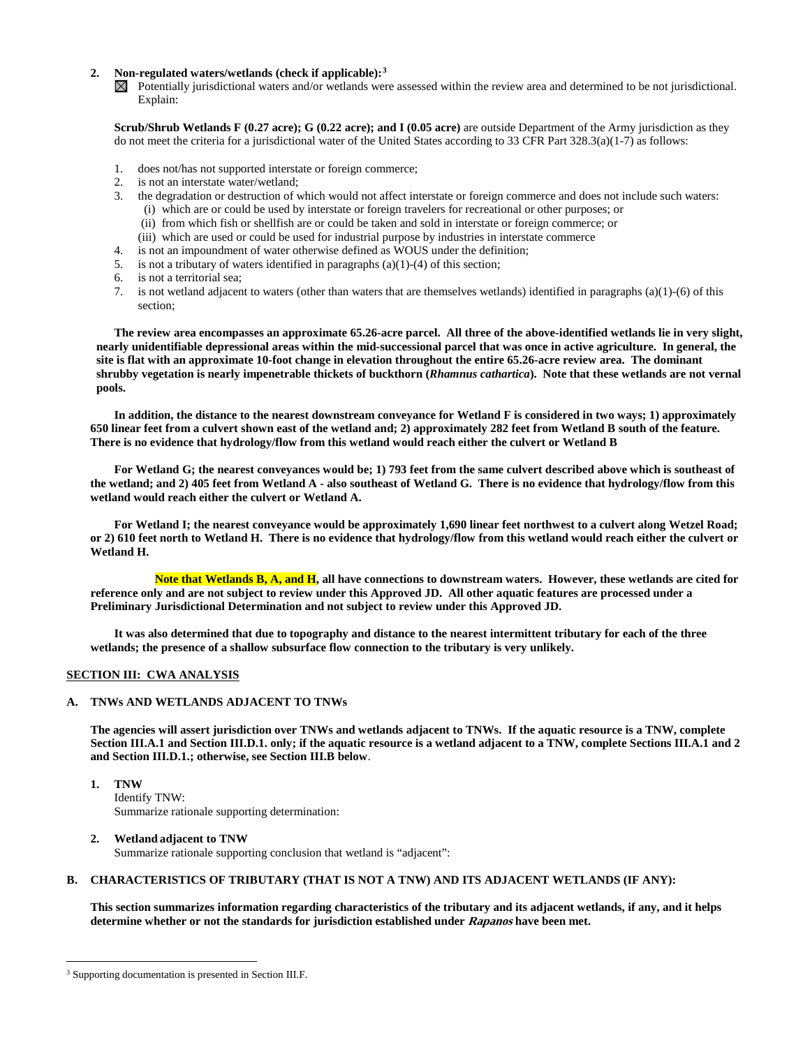#### **2. Non-regulated waters/wetlands (check if applicable):[3](#page-1-0)**

 $\boxtimes$  Potentially jurisdictional waters and/or wetlands were assessed within the review area and determined to be not jurisdictional. Explain:

**Scrub/Shrub Wetlands F (0.27 acre); G (0.22 acre); and I (0.05 acre)** are outside Department of the Army jurisdiction as they do not meet the criteria for a jurisdictional water of the United States according to 33 CFR Part  $328.3(a)(1-7)$  as follows:

- 1. does not/has not supported interstate or foreign commerce;
- 2. is not an interstate water/wetland;<br>3. the degradation or destruction of v
- 3. the degradation or destruction of which would not affect interstate or foreign commerce and does not include such waters: (i) which are or could be used by interstate or foreign travelers for recreational or other purposes; or
	- (ii) from which fish or shellfish are or could be taken and sold in interstate or foreign commerce; or
	- (iii) which are used or could be used for industrial purpose by industries in interstate commerce
- 4. is not an impoundment of water otherwise defined as WOUS under the definition;
- 5. is not a tributary of waters identified in paragraphs (a)(1)-(4) of this section;
- 6. is not a territorial sea;
- 7. is not wetland adjacent to waters (other than waters that are themselves wetlands) identified in paragraphs (a)(1)-(6) of this section;

**The review area encompasses an approximate 65.26-acre parcel. All three of the above-identified wetlands lie in very slight, nearly unidentifiable depressional areas within the mid-successional parcel that was once in active agriculture. In general, the site is flat with an approximate 10-foot change in elevation throughout the entire 65.26-acre review area. The dominant shrubby vegetation is nearly impenetrable thickets of buckthorn (***Rhamnus cathartica***). Note that these wetlands are not vernal pools.** 

**In addition, the distance to the nearest downstream conveyance for Wetland F is considered in two ways; 1) approximately 650 linear feet from a culvert shown east of the wetland and; 2) approximately 282 feet from Wetland B south of the feature. There is no evidence that hydrology/flow from this wetland would reach either the culvert or Wetland B**

**For Wetland G; the nearest conveyances would be; 1) 793 feet from the same culvert described above which is southeast of the wetland; and 2) 405 feet from Wetland A - also southeast of Wetland G. There is no evidence that hydrology/flow from this wetland would reach either the culvert or Wetland A.**

**For Wetland I; the nearest conveyance would be approximately 1,690 linear feet northwest to a culvert along Wetzel Road; or 2) 610 feet north to Wetland H. There is no evidence that hydrology/flow from this wetland would reach either the culvert or Wetland H.**

**Note that Wetlands B, A, and H, all have connections to downstream waters. However, these wetlands are cited for reference only and are not subject to review under this Approved JD. All other aquatic features are processed under a Preliminary Jurisdictional Determination and not subject to review under this Approved JD.**

**It was also determined that due to topography and distance to the nearest intermittent tributary for each of the three wetlands; the presence of a shallow subsurface flow connection to the tributary is very unlikely.**

### **SECTION III: CWA ANALYSIS**

### **A. TNWs AND WETLANDS ADJACENT TO TNWs**

**The agencies will assert jurisdiction over TNWs and wetlands adjacent to TNWs. If the aquatic resource is a TNW, complete Section III.A.1 and Section III.D.1. only; if the aquatic resource is a wetland adjacent to a TNW, complete Sections III.A.1 and 2 and Section III.D.1.; otherwise, see Section III.B below**.

**1. TNW**  Identify TNW: Summarize rationale supporting determination:

#### **2. Wetland adjacent to TNW**

Summarize rationale supporting conclusion that wetland is "adjacent":

### **B. CHARACTERISTICS OF TRIBUTARY (THAT IS NOT A TNW) AND ITS ADJACENT WETLANDS (IF ANY):**

**This section summarizes information regarding characteristics of the tributary and its adjacent wetlands, if any, and it helps determine whether or not the standards for jurisdiction established under Rapanos have been met.** 

<span id="page-1-0"></span><sup>&</sup>lt;sup>3</sup> Supporting documentation is presented in Section III.F.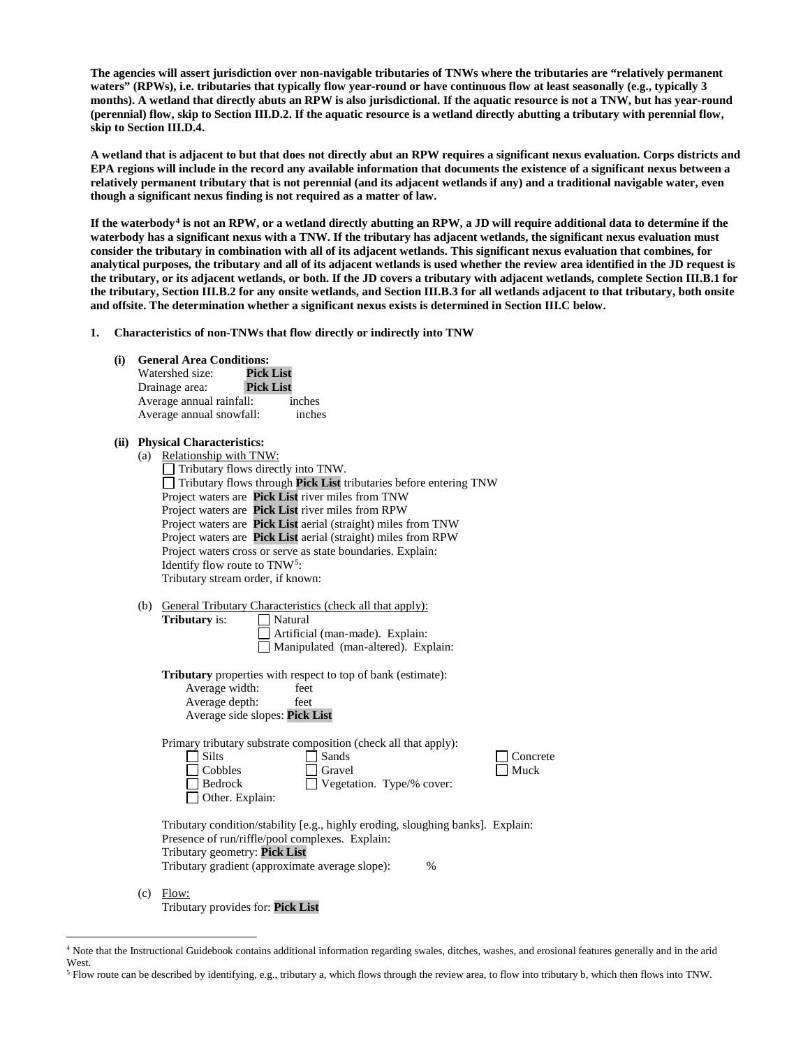**The agencies will assert jurisdiction over non-navigable tributaries of TNWs where the tributaries are "relatively permanent waters" (RPWs), i.e. tributaries that typically flow year-round or have continuous flow at least seasonally (e.g., typically 3 months). A wetland that directly abuts an RPW is also jurisdictional. If the aquatic resource is not a TNW, but has year-round (perennial) flow, skip to Section III.D.2. If the aquatic resource is a wetland directly abutting a tributary with perennial flow, skip to Section III.D.4.**

**A wetland that is adjacent to but that does not directly abut an RPW requires a significant nexus evaluation. Corps districts and EPA regions will include in the record any available information that documents the existence of a significant nexus between a relatively permanent tributary that is not perennial (and its adjacent wetlands if any) and a traditional navigable water, even though a significant nexus finding is not required as a matter of law.**

**If the waterbody[4](#page-2-0) is not an RPW, or a wetland directly abutting an RPW, a JD will require additional data to determine if the waterbody has a significant nexus with a TNW. If the tributary has adjacent wetlands, the significant nexus evaluation must consider the tributary in combination with all of its adjacent wetlands. This significant nexus evaluation that combines, for analytical purposes, the tributary and all of its adjacent wetlands is used whether the review area identified in the JD request is the tributary, or its adjacent wetlands, or both. If the JD covers a tributary with adjacent wetlands, complete Section III.B.1 for the tributary, Section III.B.2 for any onsite wetlands, and Section III.B.3 for all wetlands adjacent to that tributary, both onsite and offsite. The determination whether a significant nexus exists is determined in Section III.C below.**

- **1. Characteristics of non-TNWs that flow directly or indirectly into TNW**
	- **(i) General Area Conditions:**
		- Watershed size: **Pick List** Drainage area: **Pick List** Average annual rainfall: inches Average annual snowfall: inches

#### **(ii) Physical Characteristics:**

| (a) | Relationship with TNW:                                                          |
|-----|---------------------------------------------------------------------------------|
|     | Tributary flows directly into TNW.                                              |
|     | Tributary flows through Pick List tributaries before entering TNW               |
|     | Project waters are Pick List river miles from TNW                               |
|     | Project waters are Pick List river miles from RPW                               |
|     | Project waters are Pick List aerial (straight) miles from TNW                   |
|     | Project waters are Pick List aerial (straight) miles from RPW                   |
|     | Project waters cross or serve as state boundaries. Explain:                     |
|     | Identify flow route to TNW <sup>5</sup> :                                       |
|     | Tributary stream order, if known:                                               |
|     |                                                                                 |
| (b) | General Tributary Characteristics (check all that apply):                       |
|     | Natural<br><b>Tributary</b> is:                                                 |
|     | Artificial (man-made). Explain:                                                 |
|     | Manipulated (man-altered). Explain:                                             |
|     |                                                                                 |
|     | <b>Tributary</b> properties with respect to top of bank (estimate):             |
|     | Average width:<br>feet                                                          |
|     | Average depth:<br>feet                                                          |
|     | Average side slopes: Pick List                                                  |
|     |                                                                                 |
|     | Primary tributary substrate composition (check all that apply):                 |
|     | <b>Silts</b><br>Sands<br>Concrete                                               |
|     | Muck<br>Cobbles<br>Gravel                                                       |
|     | Bedrock<br>Vegetation. Type/% cover:                                            |
|     | Other. Explain:                                                                 |
|     |                                                                                 |
|     | Tributary condition/stability [e.g., highly eroding, sloughing banks]. Explain: |
|     | Presence of run/riffle/pool complexes. Explain:                                 |
|     | Tributary geometry: Pick List                                                   |
|     | Tributary gradient (approximate average slope):<br>%                            |

(c) Flow: Tributary provides for: **Pick List**

<span id="page-2-0"></span> <sup>4</sup> Note that the Instructional Guidebook contains additional information regarding swales, ditches, washes, and erosional features generally and in the arid West.

<span id="page-2-1"></span><sup>5</sup> Flow route can be described by identifying, e.g., tributary a, which flows through the review area, to flow into tributary b, which then flows into TNW.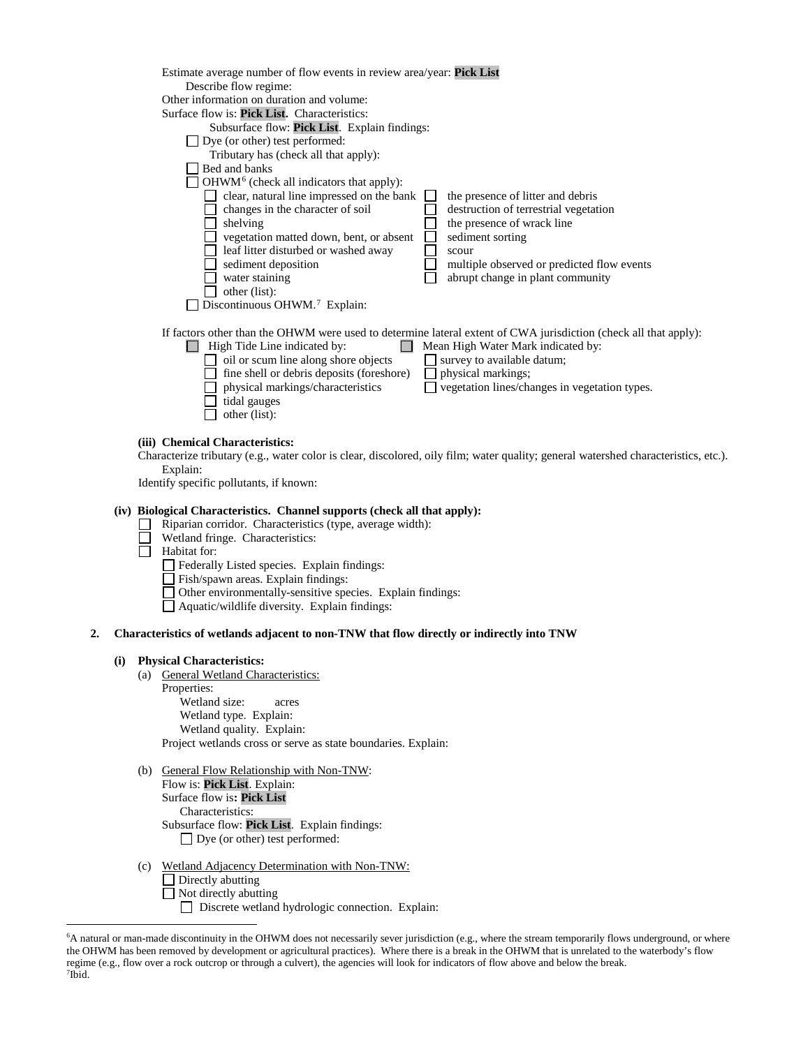| Estimate average number of flow events in review area/year: Pick List<br>Describe flow regime: |                                                                                                                                                        |
|------------------------------------------------------------------------------------------------|--------------------------------------------------------------------------------------------------------------------------------------------------------|
| Other information on duration and volume:                                                      |                                                                                                                                                        |
| Surface flow is: Pick List. Characteristics:                                                   |                                                                                                                                                        |
| Subsurface flow: Pick List. Explain findings:                                                  |                                                                                                                                                        |
| Dye (or other) test performed:                                                                 |                                                                                                                                                        |
| Tributary has (check all that apply):                                                          |                                                                                                                                                        |
| Bed and banks                                                                                  |                                                                                                                                                        |
|                                                                                                |                                                                                                                                                        |
| $OHWM6$ (check all indicators that apply):                                                     |                                                                                                                                                        |
| clear, natural line impressed on the bank                                                      | the presence of litter and debris                                                                                                                      |
| changes in the character of soil                                                               | destruction of terrestrial vegetation                                                                                                                  |
| shelving                                                                                       | the presence of wrack line                                                                                                                             |
| vegetation matted down, bent, or absent                                                        | sediment sorting                                                                                                                                       |
| leaf litter disturbed or washed away                                                           | scour                                                                                                                                                  |
| sediment deposition                                                                            | multiple observed or predicted flow events                                                                                                             |
| water staining                                                                                 | abrupt change in plant community                                                                                                                       |
| other (list):                                                                                  |                                                                                                                                                        |
| Discontinuous OHWM. <sup>7</sup> Explain:                                                      |                                                                                                                                                        |
|                                                                                                |                                                                                                                                                        |
| High Tide Line indicated by:                                                                   | If factors other than the OHWM were used to determine lateral extent of CWA jurisdiction (check all that apply):<br>Mean High Water Mark indicated by: |
| oil or scum line along shore objects                                                           | survey to available datum;                                                                                                                             |
| fine shell or debris deposits (foreshore)                                                      | physical markings;                                                                                                                                     |
| physical markings/characteristics                                                              | vegetation lines/changes in vegetation types.                                                                                                          |
| tidal gauges                                                                                   |                                                                                                                                                        |
| other (list):                                                                                  |                                                                                                                                                        |
|                                                                                                |                                                                                                                                                        |
| <b>Chemical Characteristics:</b>                                                               |                                                                                                                                                        |
| .                                                                                              |                                                                                                                                                        |

Characterize tributary (e.g., water color is clear, discolored, oily film; water quality; general watershed characteristics, etc.). Explain:

Identify specific pollutants, if known:

### **(iv) Biological Characteristics. Channel supports (check all that apply):**

- Riparian corridor. Characteristics (type, average width): ⊔
- П Wetland fringe. Characteristics:
- Ħ Habitat for:

(iii)

- Federally Listed species. Explain findings:
- Fish/spawn areas. Explain findings:
- Other environmentally-sensitive species. Explain findings:
- $\Box$  Aquatic/wildlife diversity. Explain findings:

### **2. Characteristics of wetlands adjacent to non-TNW that flow directly or indirectly into TNW**

#### **(i) Physical Characteristics:**

(a) General Wetland Characteristics: Properties: Wetland size: acres Wetland type. Explain: Wetland quality. Explain:

Project wetlands cross or serve as state boundaries. Explain:

- (b) General Flow Relationship with Non-TNW: Flow is: **Pick List**. Explain:
	- Surface flow is**: Pick List**  Characteristics: Subsurface flow: **Pick List**. Explain findings:

□ Dye (or other) test performed:

- (c) Wetland Adjacency Determination with Non-TNW:
	- Directly abutting
	- $\Box$  Not directly abutting

Discrete wetland hydrologic connection. Explain:

<span id="page-3-1"></span><span id="page-3-0"></span> <sup>6</sup> <sup>6</sup>A natural or man-made discontinuity in the OHWM does not necessarily sever jurisdiction (e.g., where the stream temporarily flows underground, or where the OHWM has been removed by development or agricultural practices). Where there is a break in the OHWM that is unrelated to the waterbody's flow regime (e.g., flow over a rock outcrop or through a culvert), the agencies will look for indicators of flow above and below the break. 7 Ibid.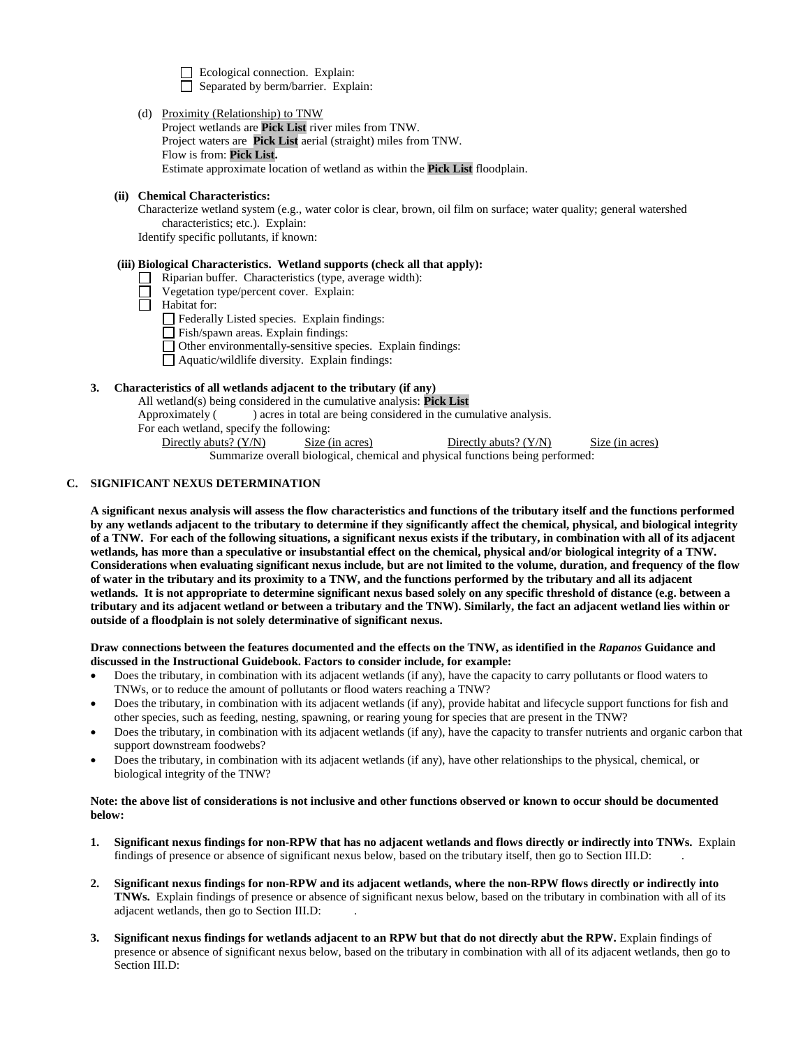Ecological connection. Explain: Separated by berm/barrier. Explain:

(d) Proximity (Relationship) to TNW

Project wetlands are **Pick List** river miles from TNW. Project waters are **Pick List** aerial (straight) miles from TNW. Flow is from: **Pick List.** Estimate approximate location of wetland as within the **Pick List** floodplain.

### **(ii) Chemical Characteristics:**

Characterize wetland system (e.g., water color is clear, brown, oil film on surface; water quality; general watershed characteristics; etc.). Explain:

Identify specific pollutants, if known:

### **(iii) Biological Characteristics. Wetland supports (check all that apply):**

- $\Box$  Riparian buffer. Characteristics (type, average width):
- Vegetation type/percent cover. Explain:
- Habitat for:
	- Federally Listed species. Explain findings:
	- Fish/spawn areas. Explain findings:
	- $\Box$  Other environmentally-sensitive species. Explain findings:
	- Aquatic/wildlife diversity. Explain findings:

### **3. Characteristics of all wetlands adjacent to the tributary (if any)**

All wetland(s) being considered in the cumulative analysis: **Pick List**

Approximately ( ) acres in total are being considered in the cumulative analysis.

For each wetland, specify the following:

Directly abuts? (Y/N) Size (in acres) Directly abuts? (Y/N) Size (in acres)

Summarize overall biological, chemical and physical functions being performed:

#### **C. SIGNIFICANT NEXUS DETERMINATION**

**A significant nexus analysis will assess the flow characteristics and functions of the tributary itself and the functions performed by any wetlands adjacent to the tributary to determine if they significantly affect the chemical, physical, and biological integrity of a TNW. For each of the following situations, a significant nexus exists if the tributary, in combination with all of its adjacent wetlands, has more than a speculative or insubstantial effect on the chemical, physical and/or biological integrity of a TNW. Considerations when evaluating significant nexus include, but are not limited to the volume, duration, and frequency of the flow of water in the tributary and its proximity to a TNW, and the functions performed by the tributary and all its adjacent wetlands. It is not appropriate to determine significant nexus based solely on any specific threshold of distance (e.g. between a tributary and its adjacent wetland or between a tributary and the TNW). Similarly, the fact an adjacent wetland lies within or outside of a floodplain is not solely determinative of significant nexus.** 

**Draw connections between the features documented and the effects on the TNW, as identified in the** *Rapanos* **Guidance and discussed in the Instructional Guidebook. Factors to consider include, for example:**

- Does the tributary, in combination with its adjacent wetlands (if any), have the capacity to carry pollutants or flood waters to TNWs, or to reduce the amount of pollutants or flood waters reaching a TNW?
- Does the tributary, in combination with its adjacent wetlands (if any), provide habitat and lifecycle support functions for fish and other species, such as feeding, nesting, spawning, or rearing young for species that are present in the TNW?
- Does the tributary, in combination with its adjacent wetlands (if any), have the capacity to transfer nutrients and organic carbon that support downstream foodwebs?
- Does the tributary, in combination with its adjacent wetlands (if any), have other relationships to the physical, chemical, or biological integrity of the TNW?

### **Note: the above list of considerations is not inclusive and other functions observed or known to occur should be documented below:**

- **1. Significant nexus findings for non-RPW that has no adjacent wetlands and flows directly or indirectly into TNWs.** Explain findings of presence or absence of significant nexus below, based on the tributary itself, then go to Section III.D: .
- **2. Significant nexus findings for non-RPW and its adjacent wetlands, where the non-RPW flows directly or indirectly into TNWs.** Explain findings of presence or absence of significant nexus below, based on the tributary in combination with all of its adjacent wetlands, then go to Section III.D: .
- **3. Significant nexus findings for wetlands adjacent to an RPW but that do not directly abut the RPW.** Explain findings of presence or absence of significant nexus below, based on the tributary in combination with all of its adjacent wetlands, then go to Section III.D: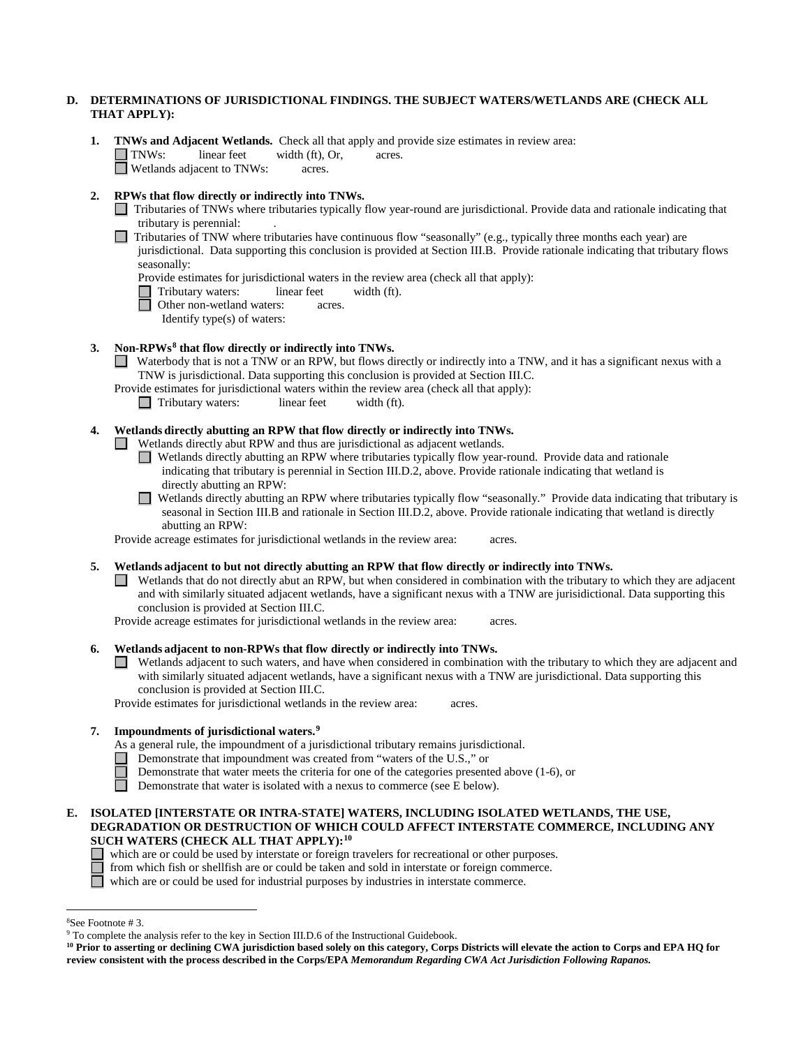## **D. DETERMINATIONS OF JURISDICTIONAL FINDINGS. THE SUBJECT WATERS/WETLANDS ARE (CHECK ALL THAT APPLY):**

**1. TNWs and Adjacent Wetlands.** Check all that apply and provide size estimates in review area:<br>
TNWs: linear feet width (ft), Or, acres.  $width (ft), Or, \narepsilon are$ . **Netlands adjacent to TNWs:** acres.

### **2. RPWs that flow directly or indirectly into TNWs.**

- Tributaries of TNWs where tributaries typically flow year-round are jurisdictional. Provide data and rationale indicating that tributary is perennial: .
- $\Box$  Tributaries of TNW where tributaries have continuous flow "seasonally" (e.g., typically three months each year) are jurisdictional. Data supporting this conclusion is provided at Section III.B. Provide rationale indicating that tributary flows seasonally:
	- Provide estimates for jurisdictional waters in the review area (check all that apply):
	- Tributary waters: linear feet width (ft).<br>
	Other non-wetland waters: acres.
		- Other non-wetland waters: acres.
			- Identify type(s) of waters:

#### **3. Non-RPWs[8](#page-5-0) that flow directly or indirectly into TNWs.**

- Waterbody that is not a TNW or an RPW, but flows directly or indirectly into a TNW, and it has a significant nexus with a TNW is jurisdictional. Data supporting this conclusion is provided at Section III.C.
- Provide estimates for jurisdictional waters within the review area (check all that apply):
	- Tributary waters: linear feet width (ft).

# **4. Wetlands directly abutting an RPW that flow directly or indirectly into TNWs.**

 $\Box$  Wetlands directly abut RPW and thus are jurisdictional as adjacent wetlands.

Wetlands directly abutting an RPW where tributaries typically flow year-round. Provide data and rationale indicating that tributary is perennial in Section III.D.2, above. Provide rationale indicating that wetland is directly abutting an RPW:

Wetlands directly abutting an RPW where tributaries typically flow "seasonally." Provide data indicating that tributary is seasonal in Section III.B and rationale in Section III.D.2, above. Provide rationale indicating that wetland is directly abutting an RPW:

Provide acreage estimates for jurisdictional wetlands in the review area: acres.

**5. Wetlands adjacent to but not directly abutting an RPW that flow directly or indirectly into TNWs.**

 $\Box$  Wetlands that do not directly abut an RPW, but when considered in combination with the tributary to which they are adjacent and with similarly situated adjacent wetlands, have a significant nexus with a TNW are jurisidictional. Data supporting this conclusion is provided at Section III.C.

Provide acreage estimates for jurisdictional wetlands in the review area: acres.

### **6. Wetlands adjacent to non-RPWs that flow directly or indirectly into TNWs.**

Wetlands adjacent to such waters, and have when considered in combination with the tributary to which they are adjacent and with similarly situated adjacent wetlands, have a significant nexus with a TNW are jurisdictional. Data supporting this conclusion is provided at Section III.C.

Provide estimates for jurisdictional wetlands in the review area: acres.

#### **7. Impoundments of jurisdictional waters. [9](#page-5-1)**

As a general rule, the impoundment of a jurisdictional tributary remains jurisdictional.

- Demonstrate that impoundment was created from "waters of the U.S.," or
	- Demonstrate that water meets the criteria for one of the categories presented above (1-6), or
	- Demonstrate that water is isolated with a nexus to commerce (see E below).

### **E. ISOLATED [INTERSTATE OR INTRA-STATE] WATERS, INCLUDING ISOLATED WETLANDS, THE USE, DEGRADATION OR DESTRUCTION OF WHICH COULD AFFECT INTERSTATE COMMERCE, INCLUDING ANY SUCH WATERS (CHECK ALL THAT APPLY):[10](#page-5-2)**

- which are or could be used by interstate or foreign travelers for recreational or other purposes.
	- from which fish or shellfish are or could be taken and sold in interstate or foreign commerce.

which are or could be used for industrial purposes by industries in interstate commerce.

 $\frac{1}{8}$ 

<span id="page-5-0"></span><sup>&</sup>lt;sup>8</sup>See Footnote # 3. 9  $\degree$  3. 9 To complete the analysis refer to the key in Section III.D.6 of the Instructional Guidebook.

<span id="page-5-2"></span><span id="page-5-1"></span>**<sup>10</sup> Prior to asserting or declining CWA jurisdiction based solely on this category, Corps Districts will elevate the action to Corps and EPA HQ for review consistent with the process described in the Corps/EPA** *Memorandum Regarding CWA Act Jurisdiction Following Rapanos.*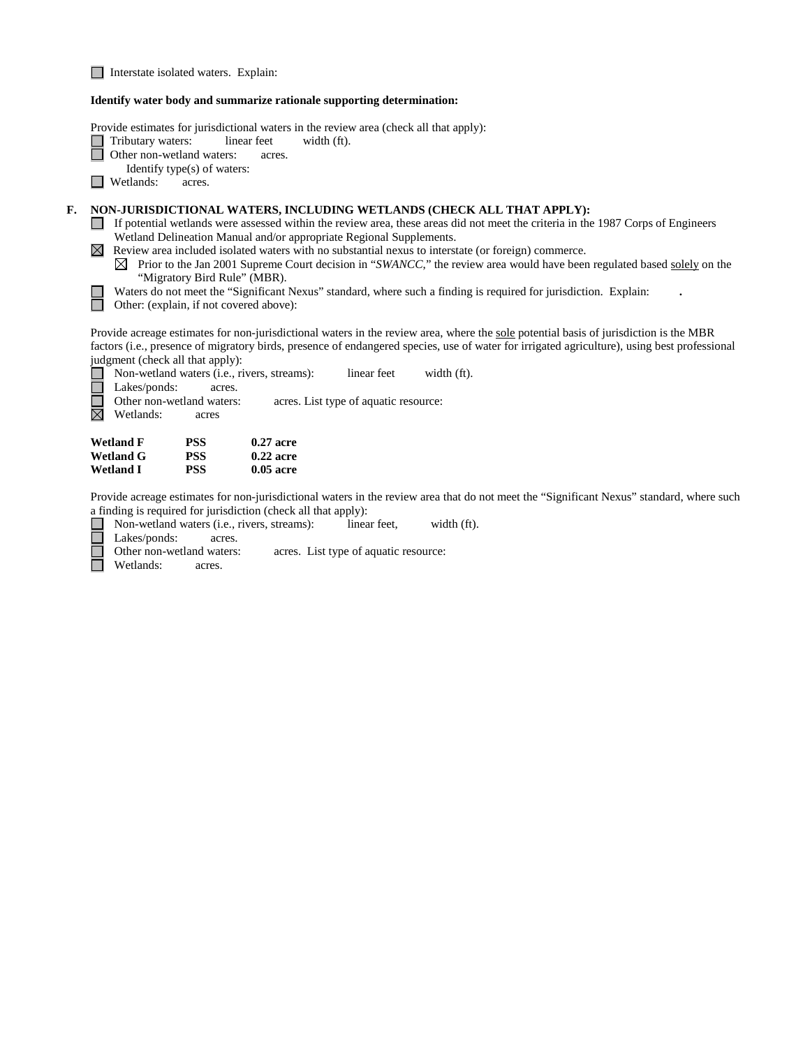Interstate isolated waters.Explain:

#### **Identify water body and summarize rationale supporting determination:**

Provide estimates for jurisdictional waters in the review area (check all that apply):<br>
Tributary waters: linear feet width (ft).

- Tributary waters: linear feet width (ft).
- 8 Other non-wetland waters: acres.
	- Identify type(s) of waters:
- $\Box$  Wetlands: acres.

ñ

 $\Box$ 

# **F. NON-JURISDICTIONAL WATERS, INCLUDING WETLANDS (CHECK ALL THAT APPLY):**

- If potential wetlands were assessed within the review area, these areas did not meet the criteria in the 1987 Corps of Engineers Wetland Delineation Manual and/or appropriate Regional Supplements.
- $\boxtimes$  Review area included isolated waters with no substantial nexus to interstate (or foreign) commerce.
	- $\boxtimes$  Prior to the Jan 2001 Supreme Court decision in "*SWANCC*," the review area would have been regulated based solely on the "Migratory Bird Rule" (MBR).



Other: (explain, if not covered above):

Provide acreage estimates for non-jurisdictional waters in the review area, where the sole potential basis of jurisdiction is the MBR factors (i.e., presence of migratory birds, presence of endangered species, use of water for irrigated agriculture), using best professional judgment (check all that apply):

| Wetlands:        | acres |             |  |
|------------------|-------|-------------|--|
| <b>Wetland F</b> | PSS   | $0.27$ acre |  |
| $W$ otland $C$   | DCC   | $0.22$ acro |  |

| Wetland G | PSS | $0.22$ acre |
|-----------|-----|-------------|
| Wetland I | PSS | $0.05$ acre |

Provide acreage estimates for non-jurisdictional waters in the review area that do not meet the "Significant Nexus" standard, where such

a finding is required for jurisdiction (check all that apply):<br>
Non-wetland waters (i.e., rivers, streams): linea<br>
Lakes/ponds: acres. Non-wetland waters (i.e., rivers, streams): linear feet, width (ft).

Lakes/ponds: acres.<br>Other non-wetland waters:

acres. List type of aquatic resource:

Wetlands: acres.